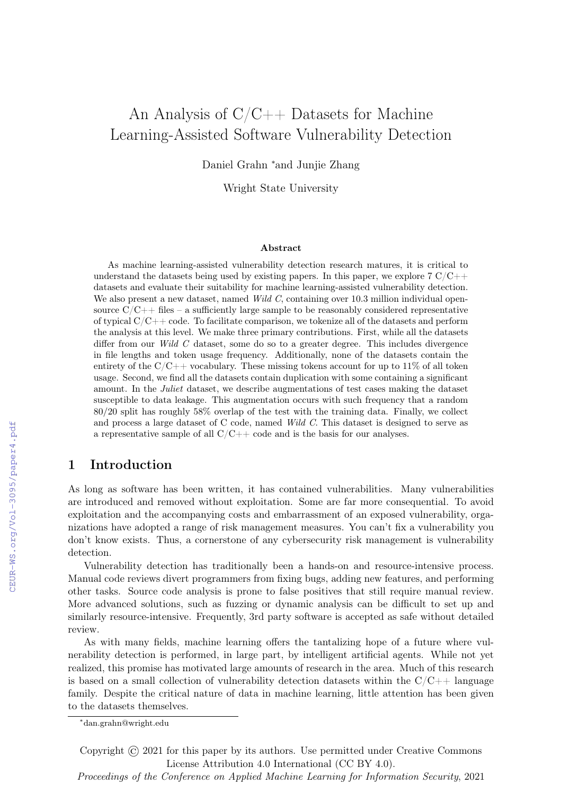# An Analysis of  $C/C++$  Datasets for Machine Learning-Assisted Software Vulnerability Detection

Daniel Grahn <sup>∗</sup>and Junjie Zhang

Wright State University

#### Abstract

As machine learning-assisted vulnerability detection research matures, it is critical to understand the datasets being used by existing papers. In this paper, we explore  $7 \text{ C/C++}$ datasets and evaluate their suitability for machine learning-assisted vulnerability detection. We also present a new dataset, named Wild C, containing over 10.3 million individual opensource  $C/C++$  files – a sufficiently large sample to be reasonably considered representative of typical  $C/C++$  code. To facilitate comparison, we tokenize all of the datasets and perform the analysis at this level. We make three primary contributions. First, while all the datasets differ from our Wild C dataset, some do so to a greater degree. This includes divergence in file lengths and token usage frequency. Additionally, none of the datasets contain the entirety of the  $C/C++$  vocabulary. These missing tokens account for up to 11% of all token usage. Second, we find all the datasets contain duplication with some containing a significant amount. In the Juliet dataset, we describe augmentations of test cases making the dataset susceptible to data leakage. This augmentation occurs with such frequency that a random 80/20 split has roughly 58% overlap of the test with the training data. Finally, we collect and process a large dataset of C code, named Wild C. This dataset is designed to serve as a representative sample of all  $C/C++$  code and is the basis for our analyses.

# 1 Introduction

As long as software has been written, it has contained vulnerabilities. Many vulnerabilities are introduced and removed without exploitation. Some are far more consequential. To avoid exploitation and the accompanying costs and embarrassment of an exposed vulnerability, organizations have adopted a range of risk management measures. You can't fix a vulnerability you don't know exists. Thus, a cornerstone of any cybersecurity risk management is vulnerability detection.

Vulnerability detection has traditionally been a hands-on and resource-intensive process. Manual code reviews divert programmers from fixing bugs, adding new features, and performing other tasks. Source code analysis is prone to false positives that still require manual review. More advanced solutions, such as fuzzing or dynamic analysis can be difficult to set up and similarly resource-intensive. Frequently, 3rd party software is accepted as safe without detailed review.

As with many fields, machine learning offers the tantalizing hope of a future where vulnerability detection is performed, in large part, by intelligent artificial agents. While not yet realized, this promise has motivated large amounts of research in the area. Much of this research is based on a small collection of vulnerability detection datasets within the  $C/C++$  language family. Despite the critical nature of data in machine learning, little attention has been given to the datasets themselves.

Copyright © 2021 for this paper by its authors. Use permitted under Creative Commons License Attribution 4.0 International (CC BY 4.0).

<sup>∗</sup>dan.grahn@wright.edu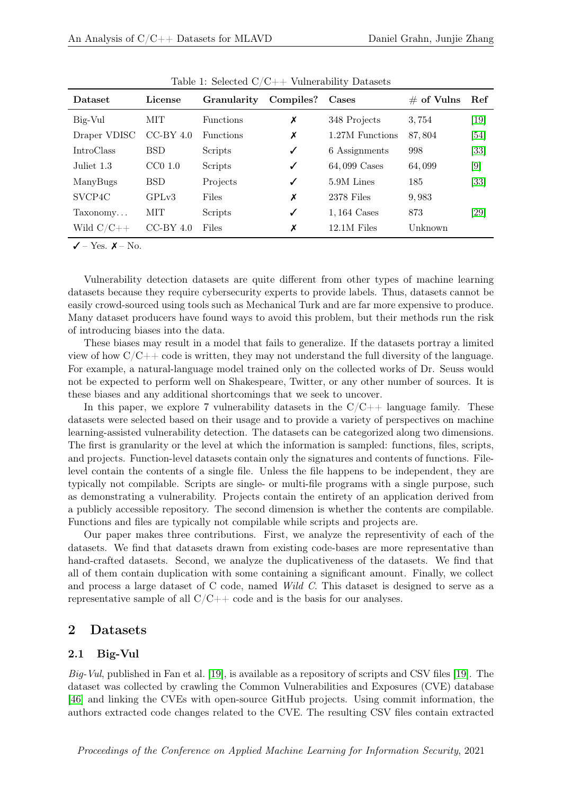| <b>Dataset</b>      | License     | <b>Granularity</b> | Compiles? | Cases           | $\#$ of Vulns | Ref    |
|---------------------|-------------|--------------------|-----------|-----------------|---------------|--------|
| Big-Vul             | <b>MIT</b>  | <b>Functions</b>   | X         | 348 Projects    | 3,754         | $[19]$ |
| Draper VDISC        | $CC-BY$ 4.0 | <b>Functions</b>   | Х         | 1.27M Functions | 87,804        | $[54]$ |
| <b>IntroClass</b>   | <b>BSD</b>  | Scripts            | ✓         | 6 Assignments   | 998           | $[33]$ |
| Juliet 1.3          | $CC0$ 1.0   | Scripts            | ✓         | 64,099 Cases    | 64,099        | [9]    |
| ManyBugs            | <b>BSD</b>  | Projects           | ✓         | 5.9M Lines      | 185           | $[33]$ |
| SVCP <sub>4</sub> C | GPLv3       | Files              | Х         | 2378 Files      | 9,983         |        |
| Taxonomy            | <b>MIT</b>  | Scripts            | ✓         | $1,164$ Cases   | 873           | $[29]$ |
| Wild $C/C++$        | $CC-BY$ 4.0 | <b>Files</b>       | X         | $12.1M$ Files   | Unknown       |        |

Table 1: Selected C/C++ Vulnerability Datasets

 $\checkmark$  – Yes.  $\checkmark$  – No.

Vulnerability detection datasets are quite different from other types of machine learning datasets because they require cybersecurity experts to provide labels. Thus, datasets cannot be easily crowd-sourced using tools such as Mechanical Turk and are far more expensive to produce. Many dataset producers have found ways to avoid this problem, but their methods run the risk of introducing biases into the data.

These biases may result in a model that fails to generalize. If the datasets portray a limited view of how  $C/C++$  code is written, they may not understand the full diversity of the language. For example, a natural-language model trained only on the collected works of Dr. Seuss would not be expected to perform well on Shakespeare, Twitter, or any other number of sources. It is these biases and any additional shortcomings that we seek to uncover.

In this paper, we explore 7 vulnerability datasets in the  $C/C++$  language family. These datasets were selected based on their usage and to provide a variety of perspectives on machine learning-assisted vulnerability detection. The datasets can be categorized along two dimensions. The first is granularity or the level at which the information is sampled: functions, files, scripts, and projects. Function-level datasets contain only the signatures and contents of functions. Filelevel contain the contents of a single file. Unless the file happens to be independent, they are typically not compilable. Scripts are single- or multi-file programs with a single purpose, such as demonstrating a vulnerability. Projects contain the entirety of an application derived from a publicly accessible repository. The second dimension is whether the contents are compilable. Functions and files are typically not compilable while scripts and projects are.

Our paper makes three contributions. First, we analyze the representivity of each of the datasets. We find that datasets drawn from existing code-bases are more representative than hand-crafted datasets. Second, we analyze the duplicativeness of the datasets. We find that all of them contain duplication with some containing a significant amount. Finally, we collect and process a large dataset of C code, named Wild C. This dataset is designed to serve as a representative sample of all  $C/C++$  code and is the basis for our analyses.

# 2 Datasets

#### 2.1 Big-Vul

Big-Vul, published in Fan et al. [\[19\]](#page-13-0), is available as a repository of scripts and CSV files [\[19\]](#page-13-0). The dataset was collected by crawling the Common Vulnerabilities and Exposures (CVE) database [\[46\]](#page-15-1) and linking the CVEs with open-source GitHub projects. Using commit information, the authors extracted code changes related to the CVE. The resulting CSV files contain extracted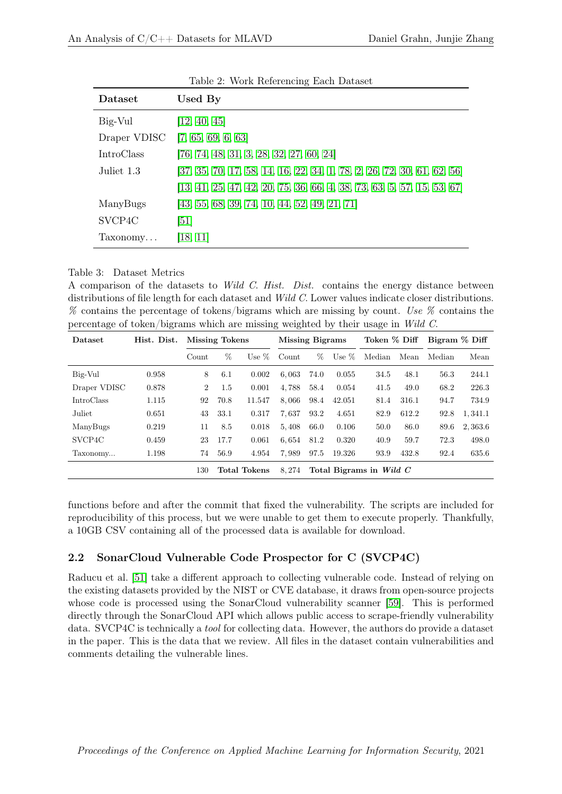| Dataset             | Used By                                                                                              |
|---------------------|------------------------------------------------------------------------------------------------------|
| Big-Vul             | [12, 40, 45]                                                                                         |
| Draper VDISC        | [7, 65, 69, 6, 63]                                                                                   |
| <b>IntroClass</b>   | $[76, 74, 48, 31, 3, 28, 32, 27, 60, 24]$                                                            |
| Juliet 1.3          | $[37, 35, 70, 17, 58, 14, 16, 22, 34, 1, 78, 2, 26, 72, 30, 61, 62, 56]$                             |
|                     | $\begin{bmatrix} 13, 41, 25, 47, 42, 20, 75, 36, 66, 4, 38, 73, 63, 5, 57, 15, 53, 67 \end{bmatrix}$ |
| ManyBugs            | $[43, 55, 68, 39, 74, 10, 44, 52, 49, 21, 71]$                                                       |
| SVCP <sub>4</sub> C | [51]                                                                                                 |
| Taxonomy            | [18, 11]                                                                                             |

Table 2: Work Referencing Each Dataset

#### <span id="page-2-0"></span>Table 3: Dataset Metrics

A comparison of the datasets to *Wild C. Hist. Dist.* contains the energy distance between distributions of file length for each dataset and *Wild C*. Lower values indicate closer distributions. % contains the percentage of tokens/bigrams which are missing by count. Use % contains the percentage of token/bigrams which are missing weighted by their usage in Wild C.

| Dataset             | Hist. Dist. |                | <b>Missing Tokens</b> |                     | <b>Missing Bigrams</b> |                         | Token % Diff |        | Bigram % Diff |        |         |
|---------------------|-------------|----------------|-----------------------|---------------------|------------------------|-------------------------|--------------|--------|---------------|--------|---------|
|                     |             | Count          | %                     | Use $\%$            | Count                  | %                       | Use $%$      | Median | Mean          | Median | Mean    |
| Big-Vul             | 0.958       | 8              | 6.1                   | 0.002               | 6,063                  | 74.0                    | 0.055        | 34.5   | 48.1          | 56.3   | 244.1   |
| Draper VDISC        | 0.878       | $\overline{2}$ | 1.5                   | 0.001               | 4,788                  | 58.4                    | 0.054        | 41.5   | 49.0          | 68.2   | 226.3   |
| <b>IntroClass</b>   | 1.115       | 92             | 70.8                  | 11.547              | 8.066                  | 98.4                    | 42.051       | 81.4   | 316.1         | 94.7   | 734.9   |
| Juliet              | 0.651       | 43             | 33.1                  | 0.317               | 7.637                  | 93.2                    | 4.651        | 82.9   | 612.2         | 92.8   | 1.341.1 |
| ManyBugs            | 0.219       | 11             | 8.5                   | 0.018               | 5,408                  | 66.0                    | 0.106        | 50.0   | 86.0          | 89.6   | 2,363.6 |
| SVCP <sub>4</sub> C | 0.459       | 23             | 17.7                  | 0.061               | 6,654                  | 81.2                    | 0.320        | 40.9   | 59.7          | 72.3   | 498.0   |
| Taxonomy            | 1.198       | 74             | 56.9                  | 4.954               | 7,989                  | 97.5                    | 19.326       | 93.9   | 432.8         | 92.4   | 635.6   |
|                     |             | 130            |                       | <b>Total Tokens</b> | 8.274                  | Total Bigrams in Wild C |              |        |               |        |         |

functions before and after the commit that fixed the vulnerability. The scripts are included for reproducibility of this process, but we were unable to get them to execute properly. Thankfully, a 10GB CSV containing all of the processed data is available for download.

## 2.2 SonarCloud Vulnerable Code Prospector for C (SVCP4C)

Raducu et al. [\[51\]](#page-15-13) take a different approach to collecting vulnerable code. Instead of relying on the existing datasets provided by the NIST or CVE database, it draws from open-source projects whose code is processed using the SonarCloud vulnerability scanner [\[59\]](#page-15-14). This is performed directly through the SonarCloud API which allows public access to scrape-friendly vulnerability data. SVCP4C is technically a tool for collecting data. However, the authors do provide a dataset in the paper. This is the data that we review. All files in the dataset contain vulnerabilities and comments detailing the vulnerable lines.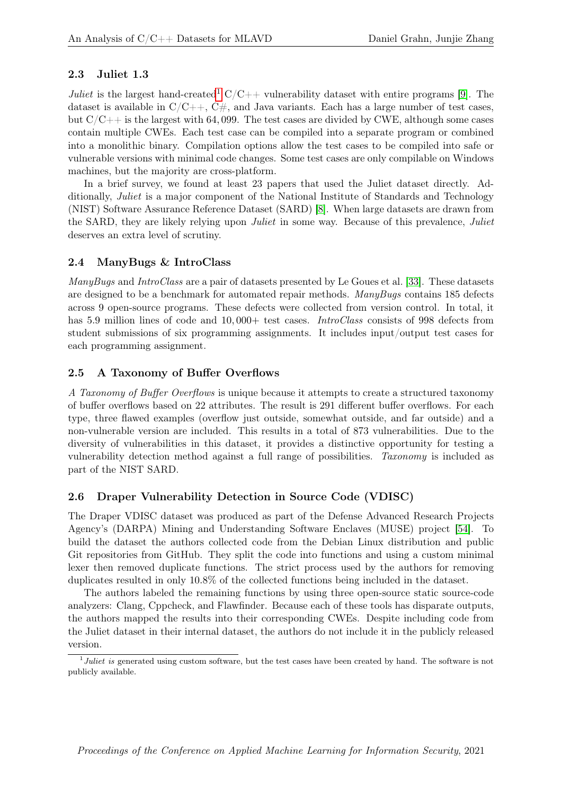## 2.3 Juliet 1.3

Juliet is the largest hand-created<sup>[1](#page-3-0)</sup>  $C/C++$  vulnerability dataset with entire programs [\[9\]](#page-12-0). The dataset is available in  $C/C++$ ,  $C\#$ , and Java variants. Each has a large number of test cases, but  $C/C++$  is the largest with 64,099. The test cases are divided by CWE, although some cases contain multiple CWEs. Each test case can be compiled into a separate program or combined into a monolithic binary. Compilation options allow the test cases to be compiled into safe or vulnerable versions with minimal code changes. Some test cases are only compilable on Windows machines, but the majority are cross-platform.

In a brief survey, we found at least 23 papers that used the Juliet dataset directly. Additionally, Juliet is a major component of the National Institute of Standards and Technology (NIST) Software Assurance Reference Dataset (SARD) [\[8\]](#page-12-14). When large datasets are drawn from the SARD, they are likely relying upon *Juliet* in some way. Because of this prevalence, *Juliet* deserves an extra level of scrutiny.

## 2.4 ManyBugs & IntroClass

ManyBugs and IntroClass are a pair of datasets presented by Le Goues et al. [\[33\]](#page-14-0). These datasets are designed to be a benchmark for automated repair methods. ManyBugs contains 185 defects across 9 open-source programs. These defects were collected from version control. In total, it has 5.9 million lines of code and 10,000+ test cases. *IntroClass* consists of 998 defects from student submissions of six programming assignments. It includes input/output test cases for each programming assignment.

# 2.5 A Taxonomy of Buffer Overflows

A Taxonomy of Buffer Overflows is unique because it attempts to create a structured taxonomy of buffer overflows based on 22 attributes. The result is 291 different buffer overflows. For each type, three flawed examples (overflow just outside, somewhat outside, and far outside) and a non-vulnerable version are included. This results in a total of 873 vulnerabilities. Due to the diversity of vulnerabilities in this dataset, it provides a distinctive opportunity for testing a vulnerability detection method against a full range of possibilities. Taxonomy is included as part of the NIST SARD.

## 2.6 Draper Vulnerability Detection in Source Code (VDISC)

The Draper VDISC dataset was produced as part of the Defense Advanced Research Projects Agency's (DARPA) Mining and Understanding Software Enclaves (MUSE) project [\[54\]](#page-15-0). To build the dataset the authors collected code from the Debian Linux distribution and public Git repositories from GitHub. They split the code into functions and using a custom minimal lexer then removed duplicate functions. The strict process used by the authors for removing duplicates resulted in only 10.8% of the collected functions being included in the dataset.

The authors labeled the remaining functions by using three open-source static source-code analyzers: Clang, Cppcheck, and Flawfinder. Because each of these tools has disparate outputs, the authors mapped the results into their corresponding CWEs. Despite including code from the Juliet dataset in their internal dataset, the authors do not include it in the publicly released version.

<span id="page-3-0"></span><sup>&</sup>lt;sup>1</sup>Juliet is generated using custom software, but the test cases have been created by hand. The software is not publicly available.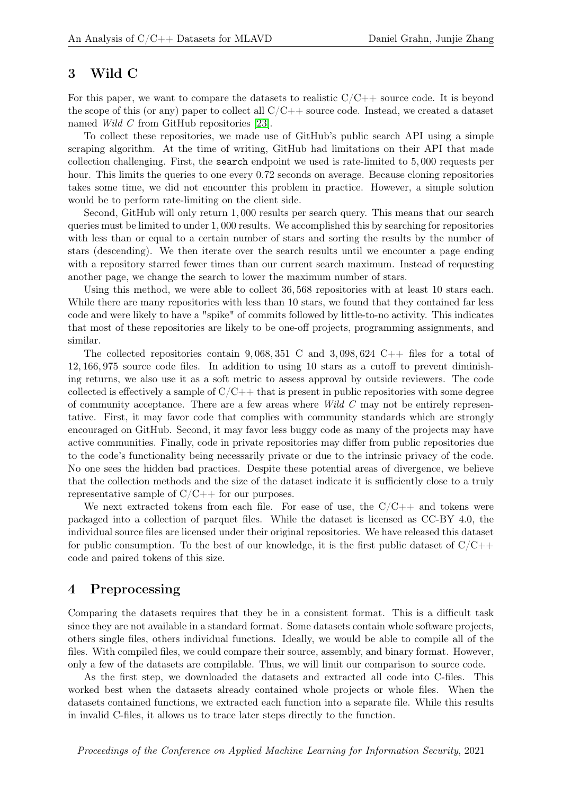## 3 Wild C

For this paper, we want to compare the datasets to realistic  $C/C++$  source code. It is beyond the scope of this (or any) paper to collect all  $C/C++$  source code. Instead, we created a dataset named Wild C from GitHub repositories [\[23\]](#page-13-13).

To collect these repositories, we made use of GitHub's public search API using a simple scraping algorithm. At the time of writing, GitHub had limitations on their API that made collection challenging. First, the search endpoint we used is rate-limited to 5, 000 requests per hour. This limits the queries to one every 0.72 seconds on average. Because cloning repositories takes some time, we did not encounter this problem in practice. However, a simple solution would be to perform rate-limiting on the client side.

Second, GitHub will only return 1, 000 results per search query. This means that our search queries must be limited to under 1, 000 results. We accomplished this by searching for repositories with less than or equal to a certain number of stars and sorting the results by the number of stars (descending). We then iterate over the search results until we encounter a page ending with a repository starred fewer times than our current search maximum. Instead of requesting another page, we change the search to lower the maximum number of stars.

Using this method, we were able to collect 36, 568 repositories with at least 10 stars each. While there are many repositories with less than 10 stars, we found that they contained far less code and were likely to have a "spike" of commits followed by little-to-no activity. This indicates that most of these repositories are likely to be one-off projects, programming assignments, and similar.

The collected repositories contain  $9,068,351$  C and  $3,098,624$  C++ files for a total of 12, 166, 975 source code files. In addition to using 10 stars as a cutoff to prevent diminishing returns, we also use it as a soft metric to assess approval by outside reviewers. The code collected is effectively a sample of  $C/C++$  that is present in public repositories with some degree of community acceptance. There are a few areas where Wild C may not be entirely representative. First, it may favor code that complies with community standards which are strongly encouraged on GitHub. Second, it may favor less buggy code as many of the projects may have active communities. Finally, code in private repositories may differ from public repositories due to the code's functionality being necessarily private or due to the intrinsic privacy of the code. No one sees the hidden bad practices. Despite these potential areas of divergence, we believe that the collection methods and the size of the dataset indicate it is sufficiently close to a truly representative sample of  $C/C++$  for our purposes.

We next extracted tokens from each file. For ease of use, the  $C/C++$  and tokens were packaged into a collection of parquet files. While the dataset is licensed as CC-BY 4.0, the individual source files are licensed under their original repositories. We have released this dataset for public consumption. To the best of our knowledge, it is the first public dataset of  $C/C++$ code and paired tokens of this size.

## 4 Preprocessing

Comparing the datasets requires that they be in a consistent format. This is a difficult task since they are not available in a standard format. Some datasets contain whole software projects, others single files, others individual functions. Ideally, we would be able to compile all of the files. With compiled files, we could compare their source, assembly, and binary format. However, only a few of the datasets are compilable. Thus, we will limit our comparison to source code.

As the first step, we downloaded the datasets and extracted all code into C-files. This worked best when the datasets already contained whole projects or whole files. When the datasets contained functions, we extracted each function into a separate file. While this results in invalid C-files, it allows us to trace later steps directly to the function.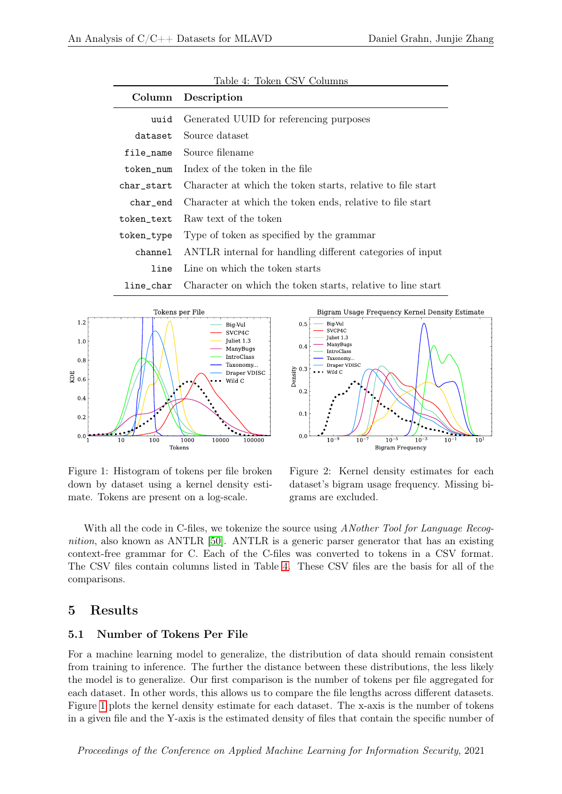<span id="page-5-0"></span>

|             | Column Description                                          |
|-------------|-------------------------------------------------------------|
| uuid        | Generated UUID for referencing purposes                     |
| dataset     | Source dataset                                              |
| file_name   | Source filename                                             |
| token_num   | Index of the token in the file                              |
| char_start  | Character at which the token starts, relative to file start |
| $char\_end$ | Character at which the token ends, relative to file start   |
| token_text  | Raw text of the token                                       |
| token_type  | Type of token as specified by the grammar                   |
| channel     | ANTLR internal for handling different categories of input   |
| line        | Line on which the token starts                              |
| line char   | Character on which the token starts, relative to line start |





<span id="page-5-1"></span>Figure 1: Histogram of tokens per file broken down by dataset using a kernel density estimate. Tokens are present on a log-scale.

<span id="page-5-2"></span>Figure 2: Kernel density estimates for each dataset's bigram usage frequency. Missing bigrams are excluded.

With all the code in C-files, we tokenize the source using *ANother Tool for Language Recog*nition, also known as ANTLR [\[50\]](#page-15-15). ANTLR is a generic parser generator that has an existing context-free grammar for C. Each of the C-files was converted to tokens in a CSV format. The CSV files contain columns listed in Table [4.](#page-5-0) These CSV files are the basis for all of the comparisons.

# 5 Results

#### 5.1 Number of Tokens Per File

For a machine learning model to generalize, the distribution of data should remain consistent from training to inference. The further the distance between these distributions, the less likely the model is to generalize. Our first comparison is the number of tokens per file aggregated for each dataset. In other words, this allows us to compare the file lengths across different datasets. Figure [1](#page-5-1) plots the kernel density estimate for each dataset. The x-axis is the number of tokens in a given file and the Y-axis is the estimated density of files that contain the specific number of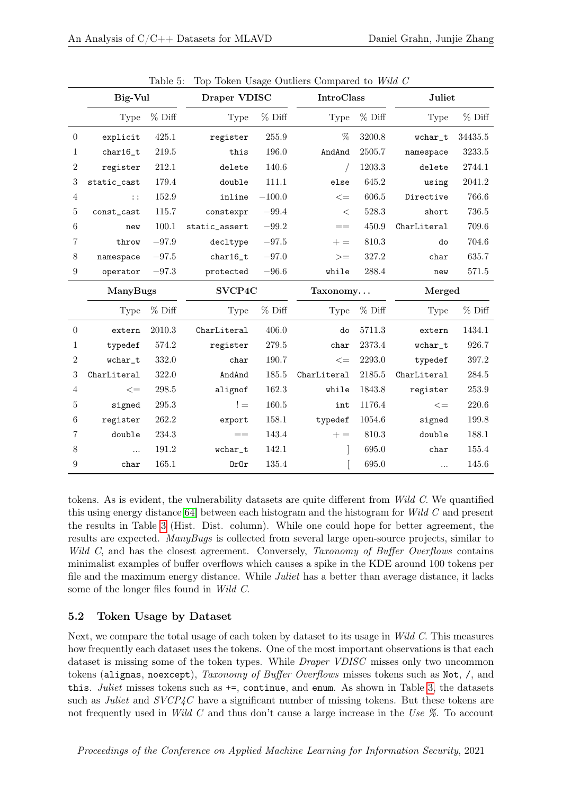|                  | Big-Vul     |         | Draper VDISC  |          | <b>IntroClass</b> |          | Juliet      |         |
|------------------|-------------|---------|---------------|----------|-------------------|----------|-------------|---------|
|                  | Type        | % Diff  | Type          | % Diff   | <b>Type</b>       | % Diff   | <b>Type</b> | % Diff  |
| $\overline{0}$   | explicit    | 425.1   | register      | 255.9    | %                 | 3200.8   | wchar_t     | 34435.5 |
| 1                | $char16_t$  | 219.5   | this          | 196.0    | AndAnd            | 2505.7   | namespace   | 3233.5  |
| 2                | register    | 212.1   | delete        | 140.6    | $\sqrt{2}$        | 1203.3   | delete      | 2744.1  |
| 3                | static_cast | 179.4   | double        | 111.1    | else              | 645.2    | using       | 2041.2  |
| 4                | $\vdots$    | 152.9   | inline        | $-100.0$ | $\leq$            | 606.5    | Directive   | 766.6   |
| 5                | const_cast  | 115.7   | constexpr     | $-99.4$  | $\,<\,$           | 528.3    | short       | 736.5   |
| 6                | new         | 100.1   | static_assert | $-99.2$  | $==$              | 450.9    | CharLiteral | 709.6   |
| 7                | throw       | $-97.9$ | decltype      | $-97.5$  | $+ =$             | 810.3    | do          | 704.6   |
| 8                | namespace   | $-97.5$ | $char16_t$    | $-97.0$  | $>=$              | 327.2    | char        | 635.7   |
| $\boldsymbol{9}$ | operator    | $-97.3$ | protected     | $-96.6$  | while             | 288.4    | new         | 571.5   |
|                  | ManyBugs    |         | SVCP4C        |          | Taxonomy          |          | Merged      |         |
|                  | Type        | % Diff  | Type          | % Diff   | Type              | $%$ Diff | Type        | % Diff  |
| $\overline{0}$   | extern      | 2010.3  | CharLiteral   | 406.0    | do                | 5711.3   | extern      | 1434.1  |
| 1                | typedef     | 574.2   | register      | 279.5    | char              | 2373.4   | wchar_t     | 926.7   |
| 2                | wchar_t     | 332.0   | char          | 190.7    | $\lt =$           | 2293.0   | typedef     | 397.2   |
| 3                | CharLiteral | 322.0   | AndAnd        | 185.5    | CharLiteral       | 2185.5   | CharLiteral | 284.5   |
| 4                | $\lt =$     | 298.5   | alignof       | 162.3    | while             | 1843.8   | register    | 253.9   |
| 5                | signed      | 295.3   | $!=$          | 160.5    | int               | 1176.4   | $\leq$      | 220.6   |
| 6                | register    | 262.2   | export        | 158.1    | typedef           | 1054.6   | signed      | 199.8   |
| 7                | double      | 234.3   | $=$           | 143.4    | $+ =$             | 810.3    | double      | 188.1   |
| 8                | $\cdots$    | 191.2   | wchar_t       | 142.1    |                   | 695.0    | char        | 155.4   |
| 9                | char        | 165.1   | 0r0r          | 135.4    |                   | 695.0    | $\dddotsc$  | 145.6   |

<span id="page-6-0"></span>Table 5: Top Token Usage Outliers Compared to Wild C

tokens. As is evident, the vulnerability datasets are quite different from Wild C. We quantified this using energy distance  $[64]$  between each histogram and the histogram for Wild C and present the results in Table [3](#page-2-0) (Hist. Dist. column). While one could hope for better agreement, the results are expected. ManyBugs is collected from several large open-source projects, similar to Wild C, and has the closest agreement. Conversely, Taxonomy of Buffer Overflows contains minimalist examples of buffer overflows which causes a spike in the KDE around 100 tokens per file and the maximum energy distance. While *Juliet* has a better than average distance, it lacks some of the longer files found in Wild C.

# 5.2 Token Usage by Dataset

Next, we compare the total usage of each token by dataset to its usage in Wild C. This measures how frequently each dataset uses the tokens. One of the most important observations is that each dataset is missing some of the token types. While *Draper VDISC* misses only two uncommon tokens (alignas, noexcept), Taxonomy of Buffer Overflows misses tokens such as Not, /, and this. Juliet misses tokens such as  $+=$ , continue, and enum. As shown in Table [3,](#page-2-0) the datasets such as *Juliet* and  $SVCP\text{/}C$  have a significant number of missing tokens. But these tokens are not frequently used in Wild C and thus don't cause a large increase in the Use %. To account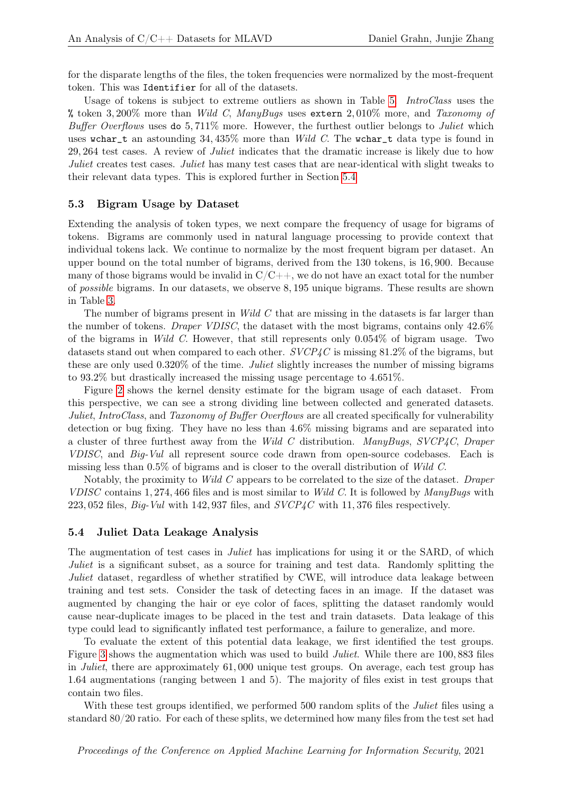for the disparate lengths of the files, the token frequencies were normalized by the most-frequent token. This was Identifier for all of the datasets.

Usage of tokens is subject to extreme outliers as shown in Table [5.](#page-6-0) *IntroClass* uses the % token 3,200% more than Wild C, ManyBugs uses extern 2,010% more, and Taxonomy of Buffer Overflows uses do 5,711% more. However, the furthest outlier belongs to Juliet which uses wchar\_t an astounding  $34,435\%$  more than Wild C. The wchar\_t data type is found in 29, 264 test cases. A review of Juliet indicates that the dramatic increase is likely due to how Juliet creates test cases. Juliet has many test cases that are near-identical with slight tweaks to their relevant data types. This is explored further in Section [5.4](#page-7-0)

#### <span id="page-7-1"></span>5.3 Bigram Usage by Dataset

Extending the analysis of token types, we next compare the frequency of usage for bigrams of tokens. Bigrams are commonly used in natural language processing to provide context that individual tokens lack. We continue to normalize by the most frequent bigram per dataset. An upper bound on the total number of bigrams, derived from the 130 tokens, is 16, 900. Because many of those bigrams would be invalid in  $C/C++$ , we do not have an exact total for the number of possible bigrams. In our datasets, we observe 8, 195 unique bigrams. These results are shown in Table [3.](#page-2-0)

The number of bigrams present in *Wild C* that are missing in the datasets is far larger than the number of tokens. Draper VDISC, the dataset with the most bigrams, contains only 42.6% of the bigrams in *Wild C*. However, that still represents only  $0.054\%$  of bigram usage. Two datasets stand out when compared to each other. SVCP4C is missing 81.2% of the bigrams, but these are only used 0.320% of the time. Juliet slightly increases the number of missing bigrams to 93.2% but drastically increased the missing usage percentage to 4.651%.

Figure [2](#page-5-2) shows the kernel density estimate for the bigram usage of each dataset. From this perspective, we can see a strong dividing line between collected and generated datasets. Juliet, IntroClass, and Taxonomy of Buffer Overflows are all created specifically for vulnerability detection or bug fixing. They have no less than 4.6% missing bigrams and are separated into a cluster of three furthest away from the Wild C distribution. ManyBugs, SVCP4C, Draper VDISC, and Big-Vul all represent source code drawn from open-source codebases. Each is missing less than 0.5% of bigrams and is closer to the overall distribution of Wild C.

Notably, the proximity to *Wild C* appears to be correlated to the size of the dataset. Draper VDISC contains 1, 274, 466 files and is most similar to Wild C. It is followed by ManyBugs with 223, 052 files,  $Big-$ Vul with 142, 937 files, and  $SVCP4C$  with 11, 376 files respectively.

#### <span id="page-7-0"></span>5.4 Juliet Data Leakage Analysis

The augmentation of test cases in *Juliet* has implications for using it or the SARD, of which Juliet is a significant subset, as a source for training and test data. Randomly splitting the Juliet dataset, regardless of whether stratified by CWE, will introduce data leakage between training and test sets. Consider the task of detecting faces in an image. If the dataset was augmented by changing the hair or eye color of faces, splitting the dataset randomly would cause near-duplicate images to be placed in the test and train datasets. Data leakage of this type could lead to significantly inflated test performance, a failure to generalize, and more.

To evaluate the extent of this potential data leakage, we first identified the test groups. Figure [3](#page-8-0) shows the augmentation which was used to build *Juliet*. While there are 100, 883 files in Juliet, there are approximately 61, 000 unique test groups. On average, each test group has 1.64 augmentations (ranging between 1 and 5). The majority of files exist in test groups that contain two files.

With these test groups identified, we performed 500 random splits of the *Juliet* files using a standard 80/20 ratio. For each of these splits, we determined how many files from the test set had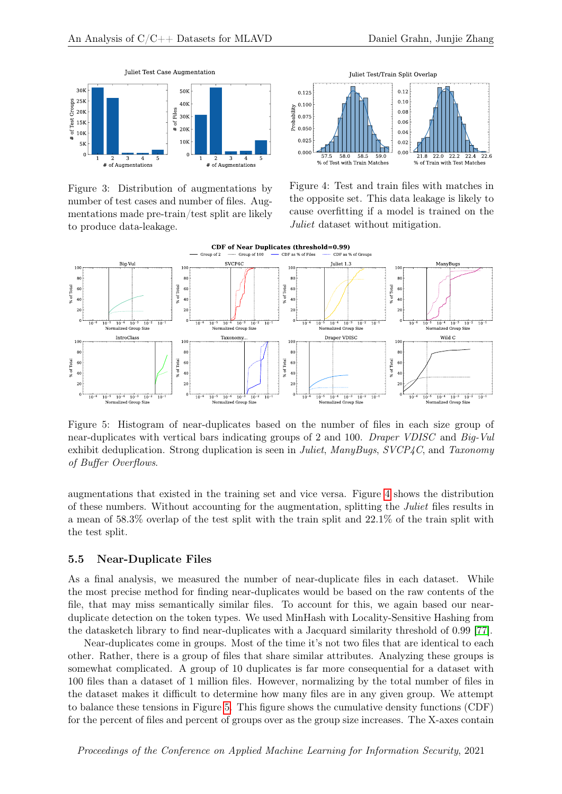

<span id="page-8-0"></span>Figure 3: Distribution of augmentations by number of test cases and number of files. Augmentations made pre-train/test split are likely to produce data-leakage.



<span id="page-8-1"></span>Figure 4: Test and train files with matches in the opposite set. This data leakage is likely to cause overfitting if a model is trained on the Juliet dataset without mitigation.



<span id="page-8-2"></span>Figure 5: Histogram of near-duplicates based on the number of files in each size group of near-duplicates with vertical bars indicating groups of 2 and 100. Draper VDISC and Big-Vul exhibit deduplication. Strong duplication is seen in Juliet, ManyBugs, SVCP4C, and Taxonomy of Buffer Overflows.

augmentations that existed in the training set and vice versa. Figure [4](#page-8-1) shows the distribution of these numbers. Without accounting for the augmentation, splitting the Juliet files results in a mean of 58.3% overlap of the test split with the train split and 22.1% of the train split with the test split.

#### <span id="page-8-3"></span>5.5 Near-Duplicate Files

As a final analysis, we measured the number of near-duplicate files in each dataset. While the most precise method for finding near-duplicates would be based on the raw contents of the file, that may miss semantically similar files. To account for this, we again based our nearduplicate detection on the token types. We used MinHash with Locality-Sensitive Hashing from the datasketch library to find near-duplicates with a Jacquard similarity threshold of 0.99 [\[77\]](#page-17-2).

Near-duplicates come in groups. Most of the time it's not two files that are identical to each other. Rather, there is a group of files that share similar attributes. Analyzing these groups is somewhat complicated. A group of 10 duplicates is far more consequential for a dataset with 100 files than a dataset of 1 million files. However, normalizing by the total number of files in the dataset makes it difficult to determine how many files are in any given group. We attempt to balance these tensions in Figure [5.](#page-8-2) This figure shows the cumulative density functions (CDF) for the percent of files and percent of groups over as the group size increases. The X-axes contain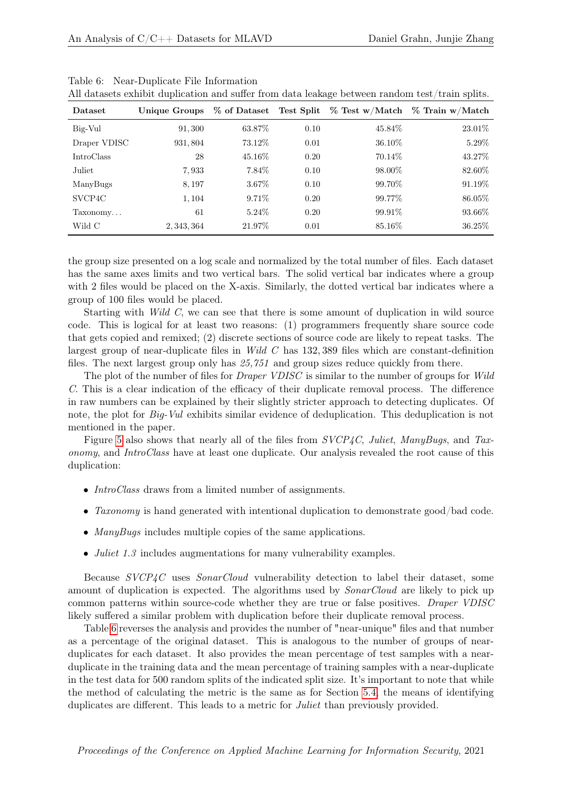| Dataset             | Unique Groups | % of Dataset | Test Split | $\%$ Test w/Match | $\%$ Train w/Match |
|---------------------|---------------|--------------|------------|-------------------|--------------------|
| Big-Vul             | 91,300        | 63.87\%      | 0.10       | 45.84\%           | 23.01\%            |
| Draper VDISC        | 931, 804      | 73.12\%      | 0.01       | 36.10\%           | $5.29\%$           |
| <b>IntroClass</b>   | 28            | 45.16\%      | 0.20       | 70.14\%           | 43.27%             |
| Juliet              | 7,933         | 7.84\%       | 0.10       | 98.00%            | 82.60%             |
| ManyBugs            | 8,197         | 3.67%        | 0.10       | 99.70%            | 91.19%             |
| SVCP <sub>4</sub> C | 1,104         | $9.71\%$     | 0.20       | 99.77%            | 86.05%             |
| Taxonomy            | 61            | $5.24\%$     | 0.20       | 99.91\%           | 93.66%             |
| Wild C              | 2, 343, 364   | 21.97%       | 0.01       | 85.16\%           | 36.25\%            |

All datasets exhibit duplication and suffer from data leakage between random test/train splits.

<span id="page-9-0"></span>Table 6: Near-Duplicate File Information

the group size presented on a log scale and normalized by the total number of files. Each dataset has the same axes limits and two vertical bars. The solid vertical bar indicates where a group with 2 files would be placed on the X-axis. Similarly, the dotted vertical bar indicates where a group of 100 files would be placed.

Starting with Wild C, we can see that there is some amount of duplication in wild source code. This is logical for at least two reasons: (1) programmers frequently share source code that gets copied and remixed; (2) discrete sections of source code are likely to repeat tasks. The largest group of near-duplicate files in Wild C has 132, 389 files which are constant-definition files. The next largest group only has 25,751 and group sizes reduce quickly from there.

The plot of the number of files for *Draper VDISC* is similar to the number of groups for Wild C. This is a clear indication of the efficacy of their duplicate removal process. The difference in raw numbers can be explained by their slightly stricter approach to detecting duplicates. Of note, the plot for *Big-Vul* exhibits similar evidence of deduplication. This deduplication is not mentioned in the paper.

Figure [5](#page-8-2) also shows that nearly all of the files from SVCP4C, Juliet, ManyBugs, and Taxonomy, and IntroClass have at least one duplicate. Our analysis revealed the root cause of this duplication:

- *IntroClass* draws from a limited number of assignments.
- Taxonomy is hand generated with intentional duplication to demonstrate good/bad code.
- ManyBugs includes multiple copies of the same applications.
- *Juliet 1.3* includes augmentations for many vulnerability examples.

Because SVCP4C uses SonarCloud vulnerability detection to label their dataset, some amount of duplication is expected. The algorithms used by *SonarCloud* are likely to pick up common patterns within source-code whether they are true or false positives. Draper VDISC likely suffered a similar problem with duplication before their duplicate removal process.

Table [6](#page-9-0) reverses the analysis and provides the number of "near-unique" files and that number as a percentage of the original dataset. This is analogous to the number of groups of nearduplicates for each dataset. It also provides the mean percentage of test samples with a nearduplicate in the training data and the mean percentage of training samples with a near-duplicate in the test data for 500 random splits of the indicated split size. It's important to note that while the method of calculating the metric is the same as for Section [5.4,](#page-7-0) the means of identifying duplicates are different. This leads to a metric for *Juliet* than previously provided.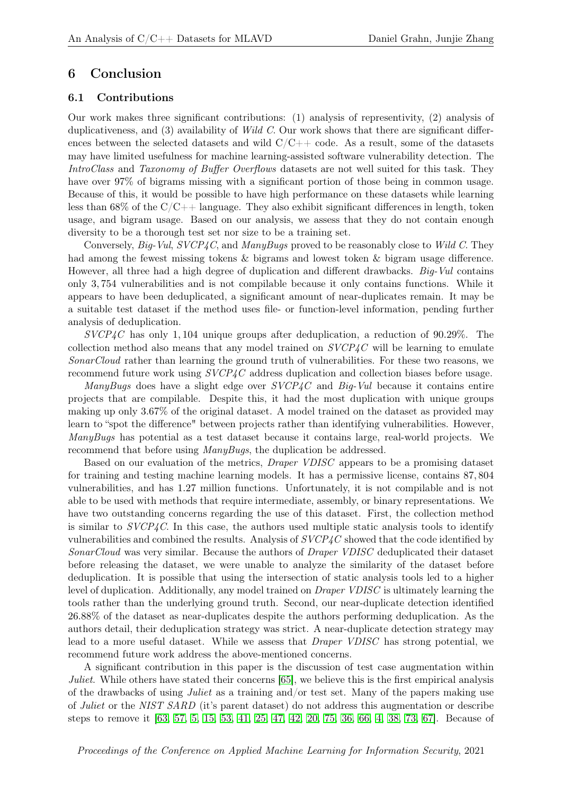### 6 Conclusion

#### 6.1 Contributions

Our work makes three significant contributions: (1) analysis of representivity, (2) analysis of duplicativeness, and  $(3)$  availability of *Wild C*. Our work shows that there are significant differences between the selected datasets and wild  $C/C++$  code. As a result, some of the datasets may have limited usefulness for machine learning-assisted software vulnerability detection. The IntroClass and Taxonomy of Buffer Overflows datasets are not well suited for this task. They have over 97% of bigrams missing with a significant portion of those being in common usage. Because of this, it would be possible to have high performance on these datasets while learning less than  $68\%$  of the  $C/C++$  language. They also exhibit significant differences in length, token usage, and bigram usage. Based on our analysis, we assess that they do not contain enough diversity to be a thorough test set nor size to be a training set.

Conversely, Big-Vul,  $SVCP4C$ , and ManyBugs proved to be reasonably close to Wild C. They had among the fewest missing tokens & bigrams and lowest token & bigram usage difference. However, all three had a high degree of duplication and different drawbacks. Big-Vul contains only 3, 754 vulnerabilities and is not compilable because it only contains functions. While it appears to have been deduplicated, a significant amount of near-duplicates remain. It may be a suitable test dataset if the method uses file- or function-level information, pending further analysis of deduplication.

 $SVCP4C$  has only 1,104 unique groups after deduplication, a reduction of 90.29%. The collection method also means that any model trained on  $SVCP4C$  will be learning to emulate SonarCloud rather than learning the ground truth of vulnerabilities. For these two reasons, we recommend future work using SVCP4C address duplication and collection biases before usage.

ManyBugs does have a slight edge over  $SVCP_4C$  and Big-Vul because it contains entire projects that are compilable. Despite this, it had the most duplication with unique groups making up only 3.67% of the original dataset. A model trained on the dataset as provided may learn to "spot the difference" between projects rather than identifying vulnerabilities. However, ManyBugs has potential as a test dataset because it contains large, real-world projects. We recommend that before using ManyBugs, the duplication be addressed.

Based on our evaluation of the metrics, Draper VDISC appears to be a promising dataset for training and testing machine learning models. It has a permissive license, contains 87, 804 vulnerabilities, and has 1.27 million functions. Unfortunately, it is not compilable and is not able to be used with methods that require intermediate, assembly, or binary representations. We have two outstanding concerns regarding the use of this dataset. First, the collection method is similar to  $SVCP4C$ . In this case, the authors used multiple static analysis tools to identify vulnerabilities and combined the results. Analysis of SVCP4C showed that the code identified by SonarCloud was very similar. Because the authors of Draper VDISC deduplicated their dataset before releasing the dataset, we were unable to analyze the similarity of the dataset before deduplication. It is possible that using the intersection of static analysis tools led to a higher level of duplication. Additionally, any model trained on Draper VDISC is ultimately learning the tools rather than the underlying ground truth. Second, our near-duplicate detection identified 26.88% of the dataset as near-duplicates despite the authors performing deduplication. As the authors detail, their deduplication strategy was strict. A near-duplicate detection strategy may lead to a more useful dataset. While we assess that Draper VDISC has strong potential, we recommend future work address the above-mentioned concerns.

A significant contribution in this paper is the discussion of test case augmentation within Juliet. While others have stated their concerns [\[65\]](#page-16-0), we believe this is the first empirical analysis of the drawbacks of using *Juliet* as a training and/or test set. Many of the papers making use of Juliet or the NIST SARD (it's parent dataset) do not address this augmentation or describe steps to remove it [\[63,](#page-16-2) [57,](#page-15-8) [5,](#page-12-10) [15,](#page-12-11) [53,](#page-15-9) [41,](#page-14-8) [25,](#page-13-9) [47,](#page-15-7) [42,](#page-14-9) [20,](#page-13-10) [75,](#page-16-8) [36,](#page-14-10) [66,](#page-16-9) [4,](#page-12-9) [38,](#page-14-11) [73,](#page-16-10) [67\]](#page-16-11). Because of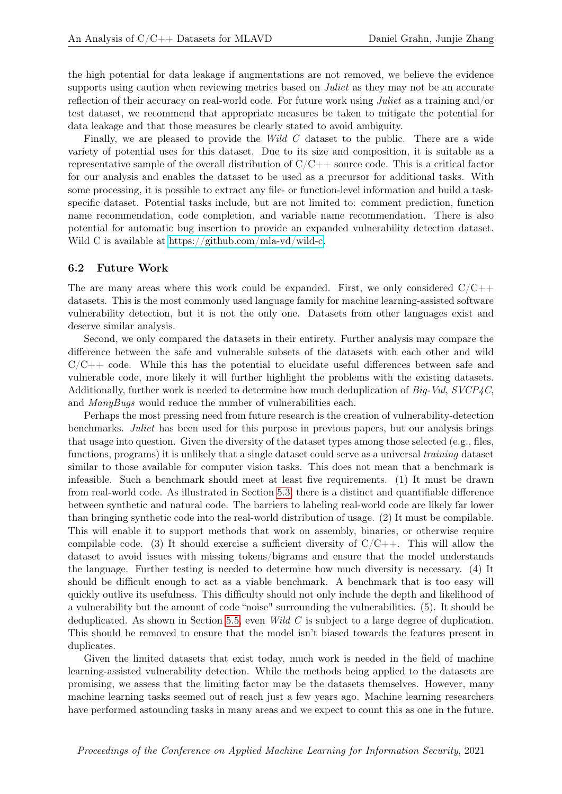the high potential for data leakage if augmentations are not removed, we believe the evidence supports using caution when reviewing metrics based on *Juliet* as they may not be an accurate reflection of their accuracy on real-world code. For future work using Juliet as a training and/or test dataset, we recommend that appropriate measures be taken to mitigate the potential for data leakage and that those measures be clearly stated to avoid ambiguity.

Finally, we are pleased to provide the Wild C dataset to the public. There are a wide variety of potential uses for this dataset. Due to its size and composition, it is suitable as a representative sample of the overall distribution of  $C/C++$  source code. This is a critical factor for our analysis and enables the dataset to be used as a precursor for additional tasks. With some processing, it is possible to extract any file- or function-level information and build a taskspecific dataset. Potential tasks include, but are not limited to: comment prediction, function name recommendation, code completion, and variable name recommendation. There is also potential for automatic bug insertion to provide an expanded vulnerability detection dataset. Wild C is available at [https://github.com/mla-vd/wild-c.](https://github.com/mla-vd/wild-c)

#### 6.2 Future Work

The are many areas where this work could be expanded. First, we only considered  $C/C++$ datasets. This is the most commonly used language family for machine learning-assisted software vulnerability detection, but it is not the only one. Datasets from other languages exist and deserve similar analysis.

Second, we only compared the datasets in their entirety. Further analysis may compare the difference between the safe and vulnerable subsets of the datasets with each other and wild  $C/C++$  code. While this has the potential to elucidate useful differences between safe and vulnerable code, more likely it will further highlight the problems with the existing datasets. Additionally, further work is needed to determine how much deduplication of Big-Vul, SVCP4C, and ManyBugs would reduce the number of vulnerabilities each.

Perhaps the most pressing need from future research is the creation of vulnerability-detection benchmarks. Juliet has been used for this purpose in previous papers, but our analysis brings that usage into question. Given the diversity of the dataset types among those selected (e.g., files, functions, programs) it is unlikely that a single dataset could serve as a universal training dataset similar to those available for computer vision tasks. This does not mean that a benchmark is infeasible. Such a benchmark should meet at least five requirements. (1) It must be drawn from real-world code. As illustrated in Section [5.3,](#page-7-1) there is a distinct and quantifiable difference between synthetic and natural code. The barriers to labeling real-world code are likely far lower than bringing synthetic code into the real-world distribution of usage. (2) It must be compilable. This will enable it to support methods that work on assembly, binaries, or otherwise require compilable code. (3) It should exercise a sufficient diversity of  $C/C++$ . This will allow the dataset to avoid issues with missing tokens/bigrams and ensure that the model understands the language. Further testing is needed to determine how much diversity is necessary. (4) It should be difficult enough to act as a viable benchmark. A benchmark that is too easy will quickly outlive its usefulness. This difficulty should not only include the depth and likelihood of a vulnerability but the amount of code "noise" surrounding the vulnerabilities. (5). It should be deduplicated. As shown in Section [5.5,](#page-8-3) even Wild C is subject to a large degree of duplication. This should be removed to ensure that the model isn't biased towards the features present in duplicates.

Given the limited datasets that exist today, much work is needed in the field of machine learning-assisted vulnerability detection. While the methods being applied to the datasets are promising, we assess that the limiting factor may be the datasets themselves. However, many machine learning tasks seemed out of reach just a few years ago. Machine learning researchers have performed astounding tasks in many areas and we expect to count this as one in the future.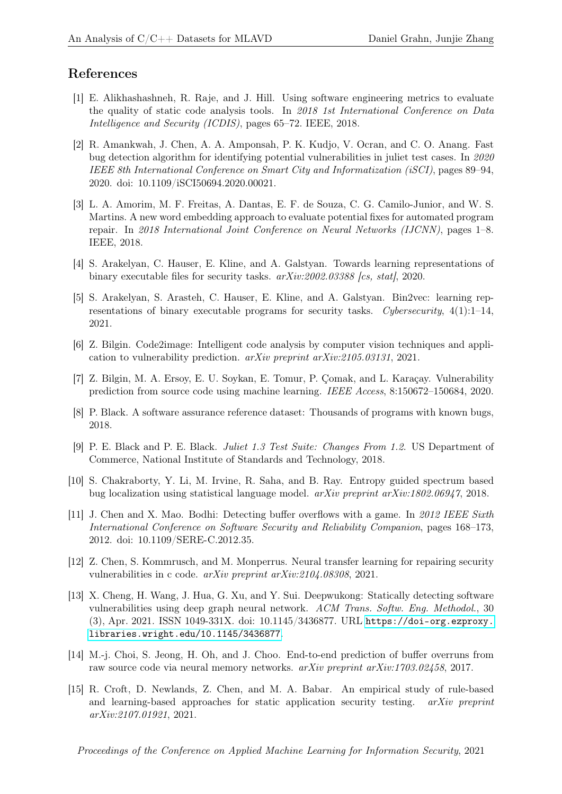# References

- <span id="page-12-6"></span>[1] E. Alikhashashneh, R. Raje, and J. Hill. Using software engineering metrics to evaluate the quality of static code analysis tools. In 2018 1st International Conference on Data Intelligence and Security (ICDIS), pages 65–72. IEEE, 2018.
- <span id="page-12-7"></span>[2] R. Amankwah, J. Chen, A. A. Amponsah, P. K. Kudjo, V. Ocran, and C. O. Anang. Fast bug detection algorithm for identifying potential vulnerabilities in juliet test cases. In 2020 IEEE 8th International Conference on Smart City and Informatization (iSCI), pages 89–94, 2020. doi: 10.1109/iSCI50694.2020.00021.
- <span id="page-12-4"></span>[3] L. A. Amorim, M. F. Freitas, A. Dantas, E. F. de Souza, C. G. Camilo-Junior, and W. S. Martins. A new word embedding approach to evaluate potential fixes for automated program repair. In 2018 International Joint Conference on Neural Networks (IJCNN), pages 1–8. IEEE, 2018.
- <span id="page-12-9"></span>[4] S. Arakelyan, C. Hauser, E. Kline, and A. Galstyan. Towards learning representations of binary executable files for security tasks.  $arXiv:2002.03388$  [cs, stat], 2020.
- <span id="page-12-10"></span>[5] S. Arakelyan, S. Arasteh, C. Hauser, E. Kline, and A. Galstyan. Bin2vec: learning representations of binary executable programs for security tasks. Cybersecurity,  $4(1):1-14$ , 2021.
- <span id="page-12-3"></span>[6] Z. Bilgin. Code2image: Intelligent code analysis by computer vision techniques and application to vulnerability prediction. arXiv preprint arXiv:2105.03131, 2021.
- <span id="page-12-2"></span>[7] Z. Bilgin, M. A. Ersoy, E. U. Soykan, E. Tomur, P. Çomak, and L. Karaçay. Vulnerability prediction from source code using machine learning. IEEE Access, 8:150672–150684, 2020.
- <span id="page-12-14"></span>[8] P. Black. A software assurance reference dataset: Thousands of programs with known bugs, 2018.
- <span id="page-12-0"></span>[9] P. E. Black and P. E. Black. Juliet 1.3 Test Suite: Changes From 1.2. US Department of Commerce, National Institute of Standards and Technology, 2018.
- <span id="page-12-12"></span>[10] S. Chakraborty, Y. Li, M. Irvine, R. Saha, and B. Ray. Entropy guided spectrum based bug localization using statistical language model.  $arXiv$  preprint  $arXiv:1802.06947$ , 2018.
- <span id="page-12-13"></span>[11] J. Chen and X. Mao. Bodhi: Detecting buffer overflows with a game. In 2012 IEEE Sixth International Conference on Software Security and Reliability Companion, pages 168–173, 2012. doi: 10.1109/SERE-C.2012.35.
- <span id="page-12-1"></span>[12] Z. Chen, S. Kommrusch, and M. Monperrus. Neural transfer learning for repairing security vulnerabilities in c code. arXiv preprint arXiv:2104.08308, 2021.
- <span id="page-12-8"></span>[13] X. Cheng, H. Wang, J. Hua, G. Xu, and Y. Sui. Deepwukong: Statically detecting software vulnerabilities using deep graph neural network. ACM Trans. Softw. Eng. Methodol., 30 (3), Apr. 2021. ISSN 1049-331X. doi: 10.1145/3436877. URL [https://doi-org.ezproxy.](https://doi-org.ezproxy.libraries.wright.edu/10.1145/3436877) [libraries.wright.edu/10.1145/3436877](https://doi-org.ezproxy.libraries.wright.edu/10.1145/3436877).
- <span id="page-12-5"></span>[14] M.-j. Choi, S. Jeong, H. Oh, and J. Choo. End-to-end prediction of buffer overruns from raw source code via neural memory networks. arXiv preprint arXiv:1703.02458, 2017.
- <span id="page-12-11"></span>[15] R. Croft, D. Newlands, Z. Chen, and M. A. Babar. An empirical study of rule-based and learning-based approaches for static application security testing. arXiv preprint arXiv:2107.01921, 2021.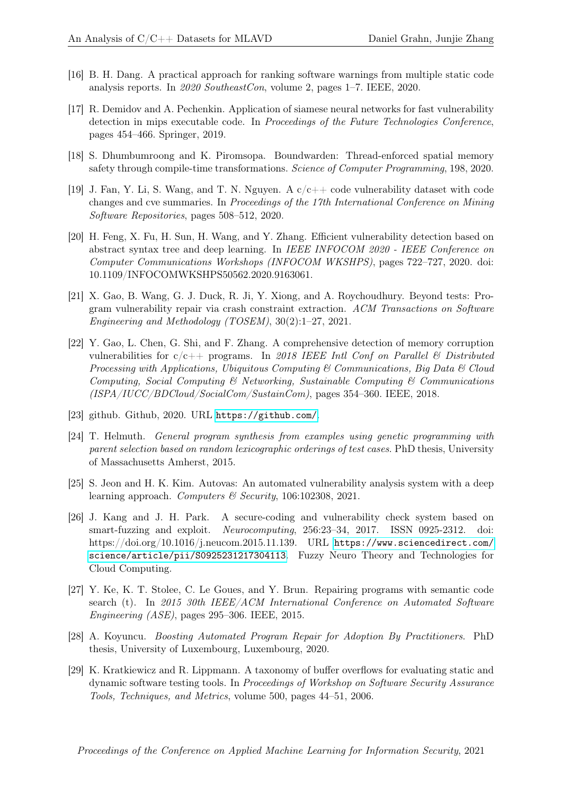- <span id="page-13-6"></span>[16] B. H. Dang. A practical approach for ranking software warnings from multiple static code analysis reports. In 2020 SoutheastCon, volume 2, pages 1–7. IEEE, 2020.
- <span id="page-13-5"></span>[17] R. Demidov and A. Pechenkin. Application of siamese neural networks for fast vulnerability detection in mips executable code. In Proceedings of the Future Technologies Conference, pages 454–466. Springer, 2019.
- <span id="page-13-12"></span>[18] S. Dhumbumroong and K. Piromsopa. Boundwarden: Thread-enforced spatial memory safety through compile-time transformations. Science of Computer Programming, 198, 2020.
- <span id="page-13-0"></span>[19] J. Fan, Y. Li, S. Wang, and T. N. Nguyen. A  $c/c++$  code vulnerability dataset with code changes and cve summaries. In Proceedings of the 17th International Conference on Mining Software Repositories, pages 508–512, 2020.
- <span id="page-13-10"></span>[20] H. Feng, X. Fu, H. Sun, H. Wang, and Y. Zhang. Efficient vulnerability detection based on abstract syntax tree and deep learning. In IEEE INFOCOM 2020 - IEEE Conference on Computer Communications Workshops (INFOCOM WKSHPS), pages 722–727, 2020. doi: 10.1109/INFOCOMWKSHPS50562.2020.9163061.
- <span id="page-13-11"></span>[21] X. Gao, B. Wang, G. J. Duck, R. Ji, Y. Xiong, and A. Roychoudhury. Beyond tests: Program vulnerability repair via crash constraint extraction. ACM Transactions on Software Engineering and Methodology (TOSEM), 30(2):1–27, 2021.
- <span id="page-13-7"></span>[22] Y. Gao, L. Chen, G. Shi, and F. Zhang. A comprehensive detection of memory corruption vulnerabilities for  $c/c++$  programs. In 2018 IEEE Intl Conf on Parallel & Distributed Processing with Applications, Ubiquitous Computing & Communications, Big Data & Cloud Computing, Social Computing  $\mathcal{C}'$  Networking, Sustainable Computing  $\mathcal{C}'$  Communications  $(ISPA/IUCC/BDCloud/SocialCom/SustainCom)$ , pages 354–360. IEEE, 2018.
- <span id="page-13-13"></span>[23] github. Github, 2020. URL <https://github.com/>.
- <span id="page-13-4"></span>[24] T. Helmuth. General program synthesis from examples using genetic programming with parent selection based on random lexicographic orderings of test cases. PhD thesis, University of Massachusetts Amherst, 2015.
- <span id="page-13-9"></span>[25] S. Jeon and H. K. Kim. Autovas: An automated vulnerability analysis system with a deep learning approach. Computers & Security, 106:102308, 2021.
- <span id="page-13-8"></span>[26] J. Kang and J. H. Park. A secure-coding and vulnerability check system based on smart-fuzzing and exploit. Neurocomputing, 256:23–34, 2017. ISSN 0925-2312. doi: https://doi.org/10.1016/j.neucom.2015.11.139. URL [https://www.sciencedirect.com/](https://www.sciencedirect.com/science/article/pii/S0925231217304113) [science/article/pii/S0925231217304113](https://www.sciencedirect.com/science/article/pii/S0925231217304113). Fuzzy Neuro Theory and Technologies for Cloud Computing.
- <span id="page-13-3"></span>[27] Y. Ke, K. T. Stolee, C. Le Goues, and Y. Brun. Repairing programs with semantic code search (t). In 2015 30th IEEE/ACM International Conference on Automated Software Engineering (ASE), pages 295–306. IEEE, 2015.
- <span id="page-13-2"></span>[28] A. Koyuncu. Boosting Automated Program Repair for Adoption By Practitioners. PhD thesis, University of Luxembourg, Luxembourg, 2020.
- <span id="page-13-1"></span>[29] K. Kratkiewicz and R. Lippmann. A taxonomy of buffer overflows for evaluating static and dynamic software testing tools. In Proceedings of Workshop on Software Security Assurance Tools, Techniques, and Metrics, volume 500, pages 44–51, 2006.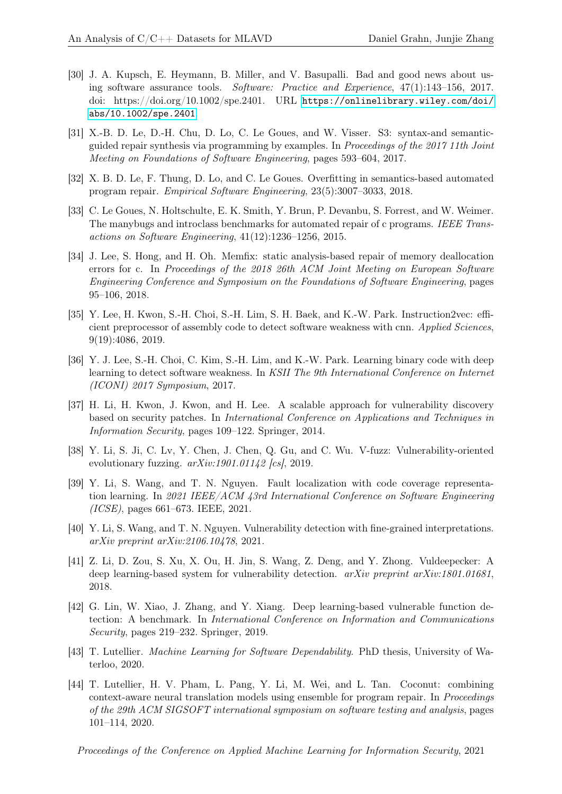- <span id="page-14-7"></span>[30] J. A. Kupsch, E. Heymann, B. Miller, and V. Basupalli. Bad and good news about using software assurance tools. Software: Practice and Experience, 47(1):143–156, 2017. doi: https://doi.org/10.1002/spe.2401. URL [https://onlinelibrary.wiley.com/doi/](https://onlinelibrary.wiley.com/doi/abs/10.1002/spe.2401) [abs/10.1002/spe.2401](https://onlinelibrary.wiley.com/doi/abs/10.1002/spe.2401).
- <span id="page-14-2"></span>[31] X.-B. D. Le, D.-H. Chu, D. Lo, C. Le Goues, and W. Visser. S3: syntax-and semanticguided repair synthesis via programming by examples. In Proceedings of the 2017 11th Joint Meeting on Foundations of Software Engineering, pages 593–604, 2017.
- <span id="page-14-3"></span>[32] X. B. D. Le, F. Thung, D. Lo, and C. Le Goues. Overfitting in semantics-based automated program repair. Empirical Software Engineering, 23(5):3007–3033, 2018.
- <span id="page-14-0"></span>[33] C. Le Goues, N. Holtschulte, E. K. Smith, Y. Brun, P. Devanbu, S. Forrest, and W. Weimer. The manybugs and introclass benchmarks for automated repair of c programs. IEEE Transactions on Software Engineering, 41(12):1236–1256, 2015.
- <span id="page-14-6"></span>[34] J. Lee, S. Hong, and H. Oh. Memfix: static analysis-based repair of memory deallocation errors for c. In Proceedings of the 2018 26th ACM Joint Meeting on European Software Engineering Conference and Symposium on the Foundations of Software Engineering, pages 95–106, 2018.
- <span id="page-14-5"></span>[35] Y. Lee, H. Kwon, S.-H. Choi, S.-H. Lim, S. H. Baek, and K.-W. Park. Instruction2vec: efficient preprocessor of assembly code to detect software weakness with cnn. Applied Sciences, 9(19):4086, 2019.
- <span id="page-14-10"></span>[36] Y. J. Lee, S.-H. Choi, C. Kim, S.-H. Lim, and K.-W. Park. Learning binary code with deep learning to detect software weakness. In KSII The 9th International Conference on Internet (ICONI) 2017 Symposium, 2017.
- <span id="page-14-4"></span>[37] H. Li, H. Kwon, J. Kwon, and H. Lee. A scalable approach for vulnerability discovery based on security patches. In International Conference on Applications and Techniques in Information Security, pages 109–122. Springer, 2014.
- <span id="page-14-11"></span>[38] Y. Li, S. Ji, C. Lv, Y. Chen, J. Chen, Q. Gu, and C. Wu. V-fuzz: Vulnerability-oriented evolutionary fuzzing.  $arXiv:1901.01142$  [cs], 2019.
- <span id="page-14-13"></span>[39] Y. Li, S. Wang, and T. N. Nguyen. Fault localization with code coverage representation learning. In 2021 IEEE/ACM 43rd International Conference on Software Engineering (ICSE), pages 661–673. IEEE, 2021.
- <span id="page-14-1"></span>[40] Y. Li, S. Wang, and T. N. Nguyen. Vulnerability detection with fine-grained interpretations. arXiv preprint arXiv:2106.10478, 2021.
- <span id="page-14-8"></span>[41] Z. Li, D. Zou, S. Xu, X. Ou, H. Jin, S. Wang, Z. Deng, and Y. Zhong. Vuldeepecker: A deep learning-based system for vulnerability detection.  $arXiv$  preprint  $arXiv:1801.01681$ . 2018.
- <span id="page-14-9"></span>[42] G. Lin, W. Xiao, J. Zhang, and Y. Xiang. Deep learning-based vulnerable function detection: A benchmark. In International Conference on Information and Communications Security, pages 219–232. Springer, 2019.
- <span id="page-14-12"></span>[43] T. Lutellier. Machine Learning for Software Dependability. PhD thesis, University of Waterloo, 2020.
- <span id="page-14-14"></span>[44] T. Lutellier, H. V. Pham, L. Pang, Y. Li, M. Wei, and L. Tan. Coconut: combining context-aware neural translation models using ensemble for program repair. In Proceedings of the 29th ACM SIGSOFT international symposium on software testing and analysis, pages 101–114, 2020.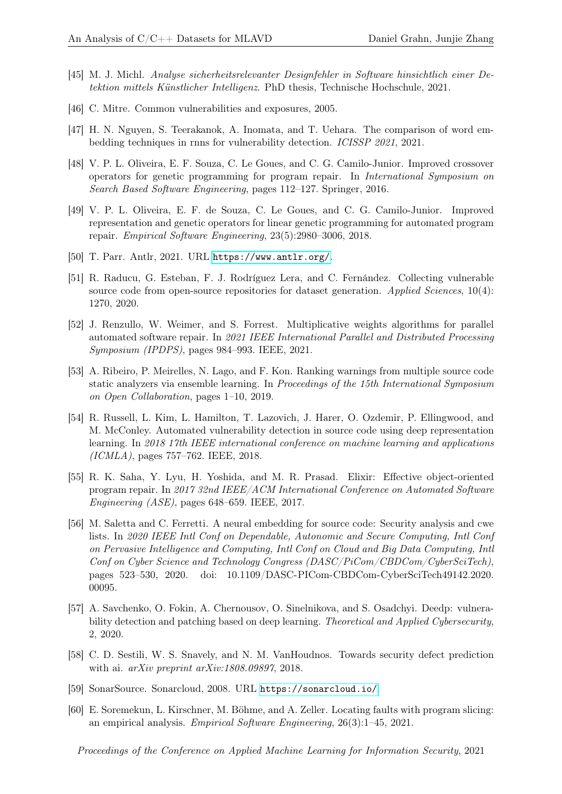- <span id="page-15-2"></span>[45] M. J. Michl. Analyse sicherheitsrelevanter Designfehler in Software hinsichtlich einer Detektion mittels Künstlicher Intelligenz. PhD thesis, Technische Hochschule, 2021.
- <span id="page-15-1"></span>[46] C. Mitre. Common vulnerabilities and exposures, 2005.
- <span id="page-15-7"></span>[47] H. N. Nguyen, S. Teerakanok, A. Inomata, and T. Uehara. The comparison of word embedding techniques in rnns for vulnerability detection. ICISSP 2021, 2021.
- <span id="page-15-3"></span>[48] V. P. L. Oliveira, E. F. Souza, C. Le Goues, and C. G. Camilo-Junior. Improved crossover operators for genetic programming for program repair. In International Symposium on Search Based Software Engineering, pages 112–127. Springer, 2016.
- <span id="page-15-12"></span>[49] V. P. L. Oliveira, E. F. de Souza, C. Le Goues, and C. G. Camilo-Junior. Improved representation and genetic operators for linear genetic programming for automated program repair. Empirical Software Engineering, 23(5):2980–3006, 2018.
- <span id="page-15-15"></span>[50] T. Parr. Antlr, 2021. URL <https://www.antlr.org/>.
- <span id="page-15-13"></span>[51] R. Raducu, G. Esteban, F. J. Rodríguez Lera, and C. Fernández. Collecting vulnerable source code from open-source repositories for dataset generation. Applied Sciences, 10(4): 1270, 2020.
- <span id="page-15-11"></span>[52] J. Renzullo, W. Weimer, and S. Forrest. Multiplicative weights algorithms for parallel automated software repair. In 2021 IEEE International Parallel and Distributed Processing Symposium (IPDPS), pages 984–993. IEEE, 2021.
- <span id="page-15-9"></span>[53] A. Ribeiro, P. Meirelles, N. Lago, and F. Kon. Ranking warnings from multiple source code static analyzers via ensemble learning. In Proceedings of the 15th International Symposium on Open Collaboration, pages 1–10, 2019.
- <span id="page-15-0"></span>[54] R. Russell, L. Kim, L. Hamilton, T. Lazovich, J. Harer, O. Ozdemir, P. Ellingwood, and M. McConley. Automated vulnerability detection in source code using deep representation learning. In 2018 17th IEEE international conference on machine learning and applications (ICMLA), pages 757–762. IEEE, 2018.
- <span id="page-15-10"></span>[55] R. K. Saha, Y. Lyu, H. Yoshida, and M. R. Prasad. Elixir: Effective object-oriented program repair. In 2017 32nd IEEE/ACM International Conference on Automated Software Engineering (ASE), pages 648–659. IEEE, 2017.
- <span id="page-15-6"></span>[56] M. Saletta and C. Ferretti. A neural embedding for source code: Security analysis and cwe lists. In 2020 IEEE Intl Conf on Dependable, Autonomic and Secure Computing, Intl Conf on Pervasive Intelligence and Computing, Intl Conf on Cloud and Big Data Computing, Intl Conf on Cyber Science and Technology Congress (DASC/PiCom/CBDCom/CyberSciTech), pages 523–530, 2020. doi: 10.1109/DASC-PICom-CBDCom-CyberSciTech49142.2020. 00095.
- <span id="page-15-8"></span>[57] A. Savchenko, O. Fokin, A. Chernousov, O. Sinelnikova, and S. Osadchyi. Deedp: vulnerability detection and patching based on deep learning. Theoretical and Applied Cybersecurity, 2, 2020.
- <span id="page-15-5"></span>[58] C. D. Sestili, W. S. Snavely, and N. M. VanHoudnos. Towards security defect prediction with ai. arXiv preprint arXiv:1808.09897, 2018.
- <span id="page-15-14"></span>[59] SonarSource. Sonarcloud, 2008. URL <https://sonarcloud.io/>.
- <span id="page-15-4"></span>[60] E. Soremekun, L. Kirschner, M. Böhme, and A. Zeller. Locating faults with program slicing: an empirical analysis. Empirical Software Engineering, 26(3):1–45, 2021.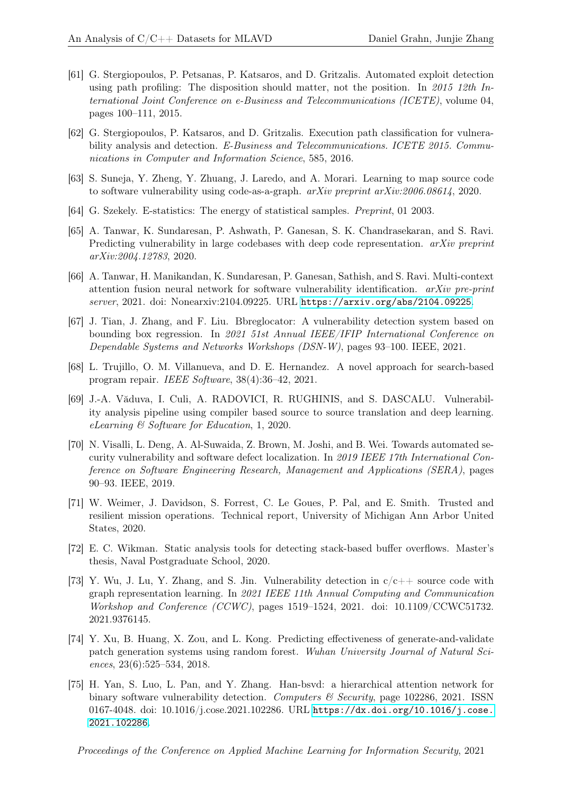- <span id="page-16-6"></span>[61] G. Stergiopoulos, P. Petsanas, P. Katsaros, and D. Gritzalis. Automated exploit detection using path profiling: The disposition should matter, not the position. In 2015 12th International Joint Conference on e-Business and Telecommunications (ICETE), volume 04, pages 100–111, 2015.
- <span id="page-16-7"></span>[62] G. Stergiopoulos, P. Katsaros, and D. Gritzalis. Execution path classification for vulnerability analysis and detection. E-Business and Telecommunications. ICETE 2015. Communications in Computer and Information Science, 585, 2016.
- <span id="page-16-2"></span>[63] S. Suneja, Y. Zheng, Y. Zhuang, J. Laredo, and A. Morari. Learning to map source code to software vulnerability using code-as-a-graph. arXiv preprint arXiv:2006.08614, 2020.
- <span id="page-16-14"></span>[64] G. Szekely. E-statistics: The energy of statistical samples. Preprint, 01 2003.
- <span id="page-16-0"></span>[65] A. Tanwar, K. Sundaresan, P. Ashwath, P. Ganesan, S. K. Chandrasekaran, and S. Ravi. Predicting vulnerability in large codebases with deep code representation.  $arXiv$  preprint arXiv:2004.12783, 2020.
- <span id="page-16-9"></span>[66] A. Tanwar, H. Manikandan, K. Sundaresan, P. Ganesan, Sathish, and S. Ravi. Multi-context attention fusion neural network for software vulnerability identification. arXiv pre-print server, 2021. doi: Nonearxiv:2104.09225. URL <https://arxiv.org/abs/2104.09225>.
- <span id="page-16-11"></span>[67] J. Tian, J. Zhang, and F. Liu. Bbreglocator: A vulnerability detection system based on bounding box regression. In 2021 51st Annual IEEE/IFIP International Conference on Dependable Systems and Networks Workshops (DSN-W), pages 93–100. IEEE, 2021.
- <span id="page-16-12"></span>[68] L. Trujillo, O. M. Villanueva, and D. E. Hernandez. A novel approach for search-based program repair. IEEE Software, 38(4):36–42, 2021.
- <span id="page-16-1"></span>[69] J.-A. Văduva, I. Culi, A. RADOVICI, R. RUGHINIS, and S. DASCALU. Vulnerability analysis pipeline using compiler based source to source translation and deep learning. eLearning & Software for Education, 1, 2020.
- <span id="page-16-4"></span>[70] N. Visalli, L. Deng, A. Al-Suwaida, Z. Brown, M. Joshi, and B. Wei. Towards automated security vulnerability and software defect localization. In 2019 IEEE 17th International Conference on Software Engineering Research, Management and Applications (SERA), pages 90–93. IEEE, 2019.
- <span id="page-16-13"></span>[71] W. Weimer, J. Davidson, S. Forrest, C. Le Goues, P. Pal, and E. Smith. Trusted and resilient mission operations. Technical report, University of Michigan Ann Arbor United States, 2020.
- <span id="page-16-5"></span>[72] E. C. Wikman. Static analysis tools for detecting stack-based buffer overflows. Master's thesis, Naval Postgraduate School, 2020.
- <span id="page-16-10"></span>[73] Y. Wu, J. Lu, Y. Zhang, and S. Jin. Vulnerability detection in  $c/c++$  source code with graph representation learning. In 2021 IEEE 11th Annual Computing and Communication Workshop and Conference (CCWC), pages 1519–1524, 2021. doi: 10.1109/CCWC51732. 2021.9376145.
- <span id="page-16-3"></span>[74] Y. Xu, B. Huang, X. Zou, and L. Kong. Predicting effectiveness of generate-and-validate patch generation systems using random forest. Wuhan University Journal of Natural Sciences, 23(6):525–534, 2018.
- <span id="page-16-8"></span>[75] H. Yan, S. Luo, L. Pan, and Y. Zhang. Han-bsvd: a hierarchical attention network for binary software vulnerability detection. Computers  $\mathcal{B}$  Security, page 102286, 2021. ISSN 0167-4048. doi: 10.1016/j.cose.2021.102286. URL [https://dx.doi.org/10.1016/j.cose.](https://dx.doi.org/10.1016/j.cose.2021.102286) [2021.102286](https://dx.doi.org/10.1016/j.cose.2021.102286).